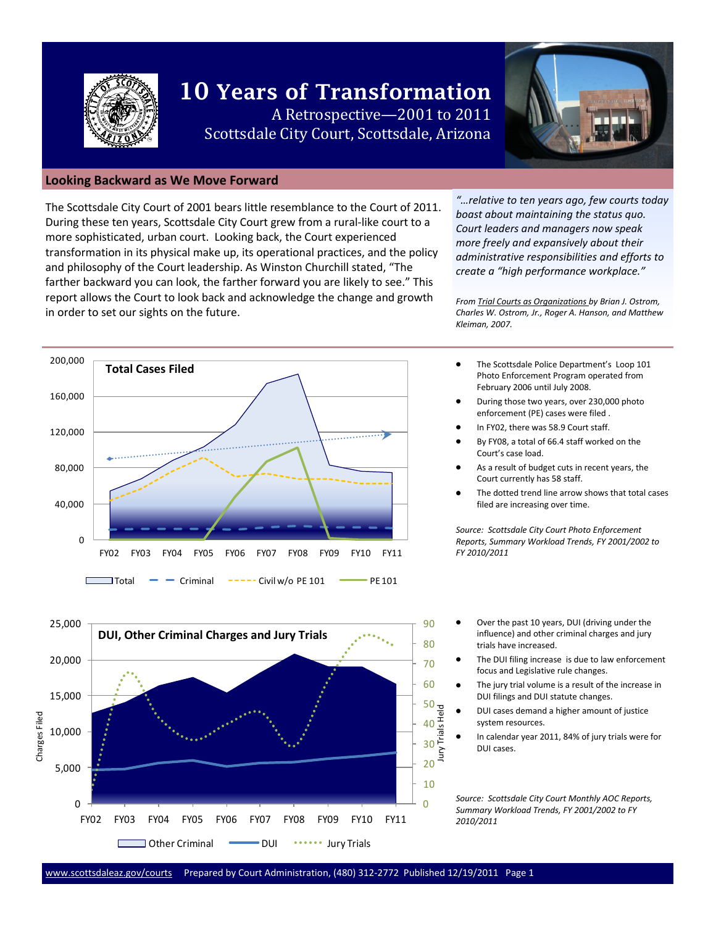

# **10 Years of Transformation** A Retrospective—2001 to 2011 Scottsdale City Court, Scottsdale, Arizona



#### **Looking Backward as We Move Forward**

The Scottsdale City Court of 2001 bears little resemblance to the Court of 2011. During these ten years, Scottsdale City Court grew from a rural-like court to a more sophisticated, urban court. Looking back, the Court experienced transformation in its physical make up, its operational practices, and the policy and philosophy of the Court leadership. As Winston Churchill stated, "The farther backward you can look, the farther forward you are likely to see." This report allows the Court to look back and acknowledge the change and growth in order to set our sights on the future.

*"…relative to ten years ago, few courts today boast about maintaining the status quo. Court leaders and managers now speak more freely and expansively about their administrative responsibilities and efforts to create a "high performance workplace."* 

*From Trial Courts as Organizations by Brian J. Ostrom, Charles W. Ostrom, Jr., Roger A. Hanson, and Matthew Kleiman, 2007.*

- The Scottsdale Police Department's Loop 101 Photo Enforcement Program operated from February 2006 until July 2008.
- During those two years, over 230,000 photo enforcement (PE) cases were filed .
- In FY02, there was 58.9 Court staff.
- By FY08, a total of 66.4 staff worked on the Court's case load.
- As a result of budget cuts in recent years, the Court currently has 58 staff.
- The dotted trend line arrow shows that total cases filed are increasing over time.

*Source: Scottsdale City Court Photo Enforcement Reports, Summary Workload Trends, FY 2001/2002 to FY 2010/2011*

- Over the past 10 years, DUI (driving under the influence) and other criminal charges and jury trials have increased.
	- The DUI filing increase is due to law enforcement focus and Legislative rule changes.
	- The jury trial volume is a result of the increase in DUI filings and DUI statute changes.
	- DUI cases demand a higher amount of justice system resources.
	- In calendar year 2011, 84% of jury trials were for DUI cases.

*Source: Scottsdale City Court Monthly AOC Reports, Summary Workload Trends, FY 2001/2002 to FY 2010/2011*



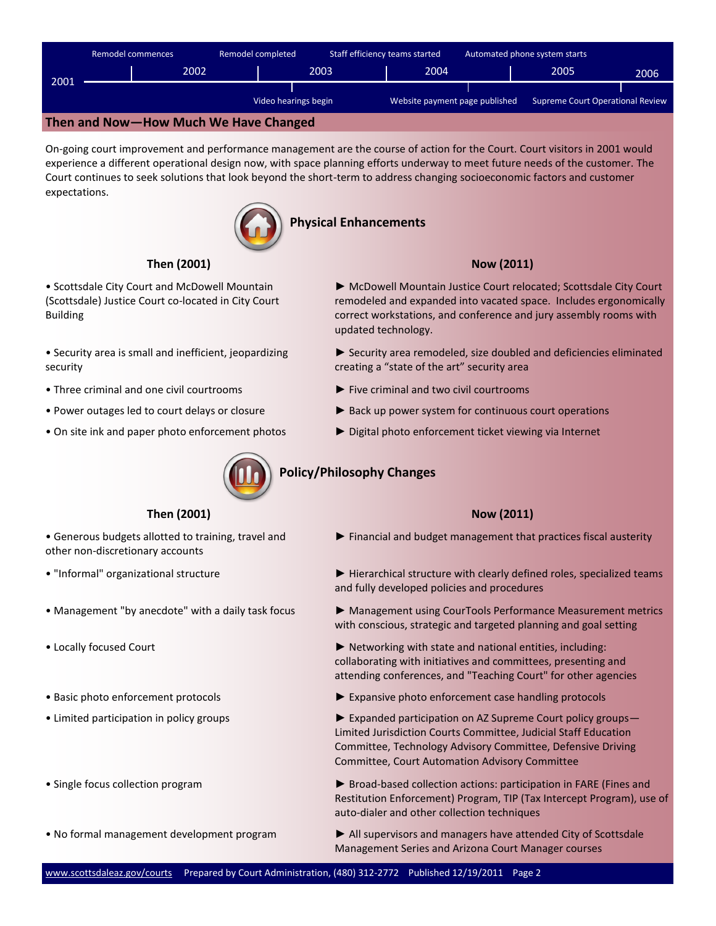

On-going court improvement and performance management are the course of action for the Court. Court visitors in 2001 would experience a different operational design now, with space planning efforts underway to meet future needs of the customer. The Court continues to seek solutions that look beyond the short-term to address changing socioeconomic factors and customer expectations.



## **Physical Enhancements**

# **Then (2001)**

• Scottsdale City Court and McDowell Mountain (Scottsdale) Justice Court co-located in City Court Building

• Security area is small and inefficient, jeopardizing security

• Three criminal and one civil courtrooms

• Locally focused Court

- 
- 

• Management "by anecdote" with a daily task focus

• Generous budgets allotted to training, travel and

• "Informal" organizational structure

other non-discretionary accounts



- ► McDowell Mountain Justice Court relocated; Scottsdale City Court remodeled and expanded into vacated space. Includes ergonomically correct workstations, and conference and jury assembly rooms with updated technology.
- ► Security area remodeled, size doubled and deficiencies eliminated creating a "state of the art" security area
- ► Five criminal and two civil courtrooms
- Power outages led to court delays or closure ► Back up power system for continuous court operations
- On site ink and paper photo enforcement photos ► Digital photo enforcement ticket viewing via Internet



# **Policy/Philosophy Changes**

# **Then (2001) Now (2011) Now (2011)**

- ► Financial and budget management that practices fiscal austerity
- ► Hierarchical structure with clearly defined roles, specialized teams and fully developed policies and procedures
	- ► Management using CourTools Performance Measurement metrics with conscious, strategic and targeted planning and goal setting
	- ► Networking with state and national entities, including: collaborating with initiatives and committees, presenting and attending conferences, and "Teaching Court" for other agencies
- Basic photo enforcement protocols ► Expansive photo enforcement case handling protocols
- Limited participation in policy groups ► Expanded participation on AZ Supreme Court policy groups— Limited Jurisdiction Courts Committee, Judicial Staff Education Committee, Technology Advisory Committee, Defensive Driving Committee, Court Automation Advisory Committee
- Single focus collection program ► Broad-based collection actions: participation in FARE (Fines and Restitution Enforcement) Program, TIP (Tax Intercept Program), use of auto-dialer and other collection techniques
- No formal management development program ► All supervisors and managers have attended City of Scottsdale Management Series and Arizona Court Manager courses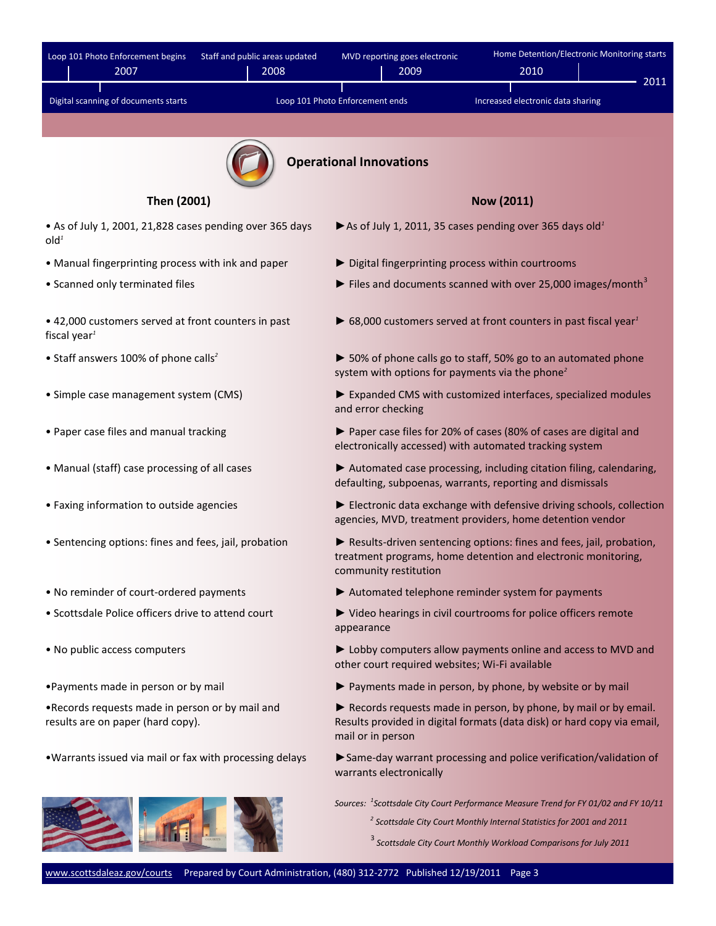